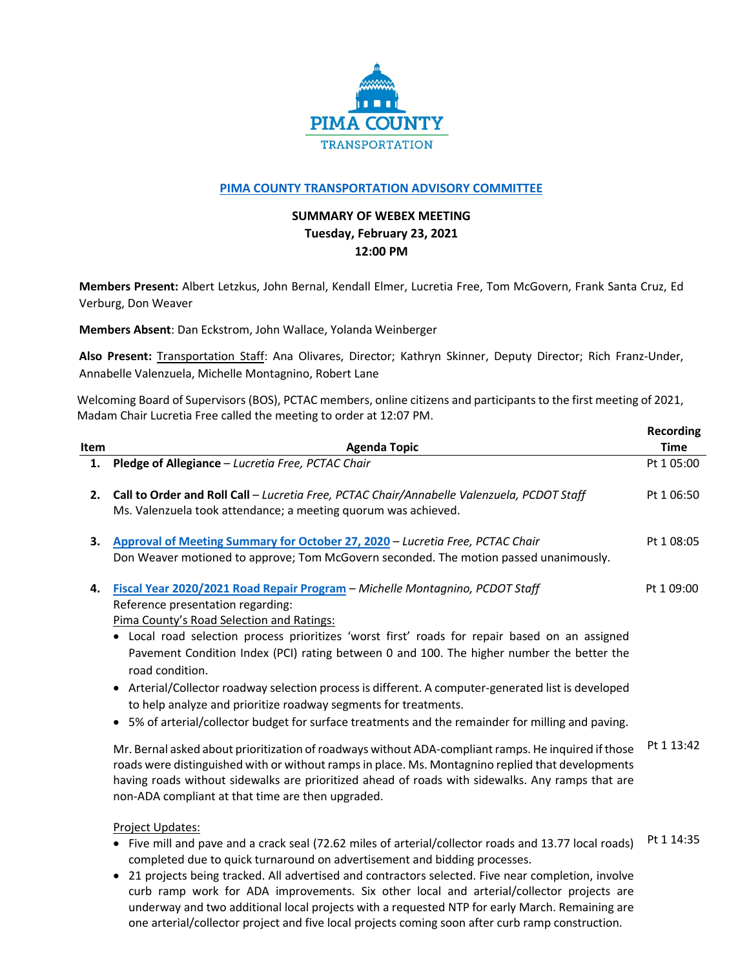

## **[PIMA COUNTY TRANSPORTATION ADVISORY COMMITTEE](https://webcms.pima.gov/cms/One.aspx?portalId=169&pageId=355530)**

## **SUMMARY OF WEBEX MEETING Tuesday, February 23, 2021 12:00 PM**

**Members Present:** Albert Letzkus, John Bernal, Kendall Elmer, Lucretia Free, Tom McGovern, Frank Santa Cruz, Ed Verburg, Don Weaver

**Members Absent**: Dan Eckstrom, John Wallace, Yolanda Weinberger

**Also Present:** Transportation Staff: Ana Olivares, Director; Kathryn Skinner, Deputy Director; Rich Franz-Under, Annabelle Valenzuela, Michelle Montagnino, Robert Lane

Welcoming Board of Supervisors (BOS), PCTAC members, online citizens and participants to the first meeting of 2021, Madam Chair Lucretia Free called the meeting to order at 12:07 PM.

**Recording**

| <b>Item</b> | <b>Agenda Topic</b>                                                                                                                                                                                                                                                                                                                                                                                                                                                                                                                                                                                                                                            | <b>Time</b> |
|-------------|----------------------------------------------------------------------------------------------------------------------------------------------------------------------------------------------------------------------------------------------------------------------------------------------------------------------------------------------------------------------------------------------------------------------------------------------------------------------------------------------------------------------------------------------------------------------------------------------------------------------------------------------------------------|-------------|
| 1.          | Pledge of Allegiance - Lucretia Free, PCTAC Chair                                                                                                                                                                                                                                                                                                                                                                                                                                                                                                                                                                                                              | Pt 1 05:00  |
| 2.          | Call to Order and Roll Call - Lucretia Free, PCTAC Chair/Annabelle Valenzuela, PCDOT Staff<br>Ms. Valenzuela took attendance; a meeting quorum was achieved.                                                                                                                                                                                                                                                                                                                                                                                                                                                                                                   | Pt 1 06:50  |
| 3.          | Approval of Meeting Summary for October 27, 2020 - Lucretia Free, PCTAC Chair<br>Don Weaver motioned to approve; Tom McGovern seconded. The motion passed unanimously.                                                                                                                                                                                                                                                                                                                                                                                                                                                                                         | Pt 1 08:05  |
| 4.          | Fiscal Year 2020/2021 Road Repair Program - Michelle Montagnino, PCDOT Staff<br>Reference presentation regarding:<br>Pima County's Road Selection and Ratings:<br>• Local road selection process prioritizes 'worst first' roads for repair based on an assigned<br>Pavement Condition Index (PCI) rating between 0 and 100. The higher number the better the<br>road condition.<br>• Arterial/Collector roadway selection process is different. A computer-generated list is developed<br>to help analyze and prioritize roadway segments for treatments.<br>5% of arterial/collector budget for surface treatments and the remainder for milling and paving. | Pt 1 09:00  |
|             | Mr. Bernal asked about prioritization of roadways without ADA-compliant ramps. He inquired if those<br>roads were distinguished with or without ramps in place. Ms. Montagnino replied that developments<br>having roads without sidewalks are prioritized ahead of roads with sidewalks. Any ramps that are<br>non-ADA compliant at that time are then upgraded.                                                                                                                                                                                                                                                                                              | Pt 1 13:42  |
|             | Project Updates:<br>$\bullet$ Five mill and pave and a crack seal (72.62 miles of arterial/collector roads and 13.77 local roads)                                                                                                                                                                                                                                                                                                                                                                                                                                                                                                                              | Pt 1 14:35  |

- Five mill and pave and a crack seal (72.62 miles of arterial/collector roads and 13.77 local roads) completed due to quick turnaround on advertisement and bidding processes.
- 21 projects being tracked. All advertised and contractors selected. Five near completion, involve curb ramp work for ADA improvements. Six other local and arterial/collector projects are underway and two additional local projects with a requested NTP for early March. Remaining are one arterial/collector project and five local projects coming soon after curb ramp construction.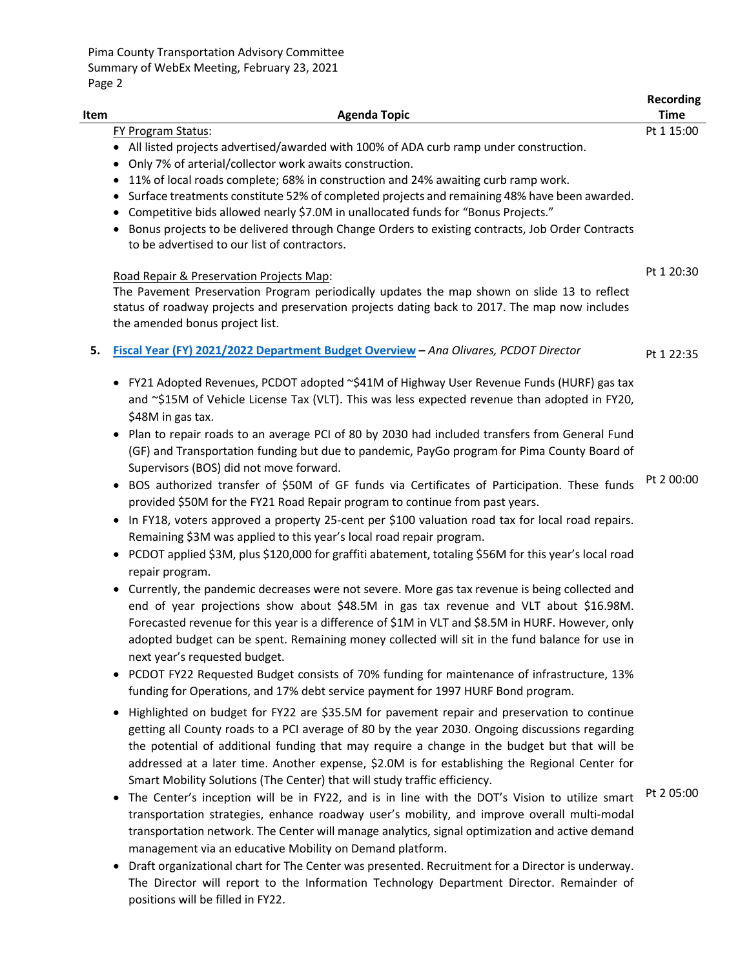| Item | <b>Agenda Topic</b>                                                                                                                                                                                                                                                                                                                                                                                                                                                                                                                                                                                                                                                                                                                                                                                                                                                                                                                                                                                                                                                                                                                                                                                                                                                                                                                                                                                                                                                                                                                  | Recording<br><b>Time</b> |
|------|--------------------------------------------------------------------------------------------------------------------------------------------------------------------------------------------------------------------------------------------------------------------------------------------------------------------------------------------------------------------------------------------------------------------------------------------------------------------------------------------------------------------------------------------------------------------------------------------------------------------------------------------------------------------------------------------------------------------------------------------------------------------------------------------------------------------------------------------------------------------------------------------------------------------------------------------------------------------------------------------------------------------------------------------------------------------------------------------------------------------------------------------------------------------------------------------------------------------------------------------------------------------------------------------------------------------------------------------------------------------------------------------------------------------------------------------------------------------------------------------------------------------------------------|--------------------------|
|      | FY Program Status:<br>• All listed projects advertised/awarded with 100% of ADA curb ramp under construction.<br>Only 7% of arterial/collector work awaits construction.<br>٠<br>11% of local roads complete; 68% in construction and 24% awaiting curb ramp work.<br>٠<br>Surface treatments constitute 52% of completed projects and remaining 48% have been awarded.<br>$\bullet$<br>Competitive bids allowed nearly \$7.0M in unallocated funds for "Bonus Projects."<br>٠<br>Bonus projects to be delivered through Change Orders to existing contracts, Job Order Contracts<br>to be advertised to our list of contractors.<br>Road Repair & Preservation Projects Map:<br>The Pavement Preservation Program periodically updates the map shown on slide 13 to reflect                                                                                                                                                                                                                                                                                                                                                                                                                                                                                                                                                                                                                                                                                                                                                         | Pt 1 15:00<br>Pt 1 20:30 |
| 5.   | status of roadway projects and preservation projects dating back to 2017. The map now includes<br>the amended bonus project list.<br>Fiscal Year (FY) 2021/2022 Department Budget Overview - Ana Olivares, PCDOT Director                                                                                                                                                                                                                                                                                                                                                                                                                                                                                                                                                                                                                                                                                                                                                                                                                                                                                                                                                                                                                                                                                                                                                                                                                                                                                                            |                          |
|      | FY21 Adopted Revenues, PCDOT adopted ~\$41M of Highway User Revenue Funds (HURF) gas tax<br>$\bullet$<br>and ~\$15M of Vehicle License Tax (VLT). This was less expected revenue than adopted in FY20,<br>\$48M in gas tax.<br>Plan to repair roads to an average PCI of 80 by 2030 had included transfers from General Fund<br>(GF) and Transportation funding but due to pandemic, PayGo program for Pima County Board of<br>Supervisors (BOS) did not move forward.<br>BOS authorized transfer of \$50M of GF funds via Certificates of Participation. These funds<br>provided \$50M for the FY21 Road Repair program to continue from past years.<br>In FY18, voters approved a property 25-cent per \$100 valuation road tax for local road repairs.<br>$\bullet$<br>Remaining \$3M was applied to this year's local road repair program.<br>PCDOT applied \$3M, plus \$120,000 for graffiti abatement, totaling \$56M for this year's local road<br>$\bullet$<br>repair program.<br>Currently, the pandemic decreases were not severe. More gas tax revenue is being collected and<br>end of year projections show about \$48.5M in gas tax revenue and VLT about \$16.98M.<br>Forecasted revenue for this year is a difference of \$1M in VLT and \$8.5M in HURF. However, only<br>adopted budget can be spent. Remaining money collected will sit in the fund balance for use in<br>next year's requested budget.<br>PCDOT FY22 Requested Budget consists of 70% funding for maintenance of infrastructure, 13%<br>$\bullet$ | Pt 1 22:35<br>Pt 2 00:00 |
|      | funding for Operations, and 17% debt service payment for 1997 HURF Bond program.<br>Highlighted on budget for FY22 are \$35.5M for pavement repair and preservation to continue<br>getting all County roads to a PCI average of 80 by the year 2030. Ongoing discussions regarding<br>the potential of additional funding that may require a change in the budget but that will be<br>addressed at a later time. Another expense, \$2.0M is for establishing the Regional Center for<br>Smart Mobility Solutions (The Center) that will study traffic efficiency.<br>The Center's inception will be in FY22, and is in line with the DOT's Vision to utilize smart<br>٠<br>transportation strategies, enhance roadway user's mobility, and improve overall multi-modal<br>transportation network. The Center will manage analytics, signal optimization and active demand<br>management via an educative Mobility on Demand platform.                                                                                                                                                                                                                                                                                                                                                                                                                                                                                                                                                                                                | Pt 2 05:00               |

• Draft organizational chart for The Center was presented. Recruitment for a Director is underway. The Director will report to the Information Technology Department Director. Remainder of positions will be filled in FY22.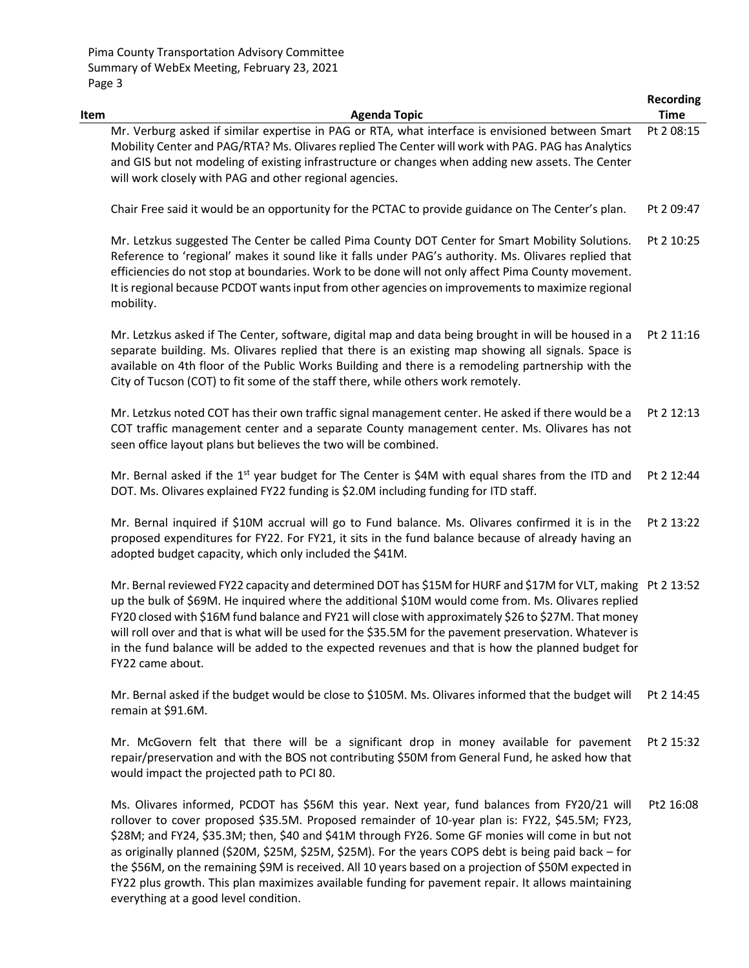| Item | <b>Agenda Topic</b>                                                                                                                                                                                                                                                                                                                                                                                                                                                                                                                                                                                                        | <b>Recording</b><br><b>Time</b> |
|------|----------------------------------------------------------------------------------------------------------------------------------------------------------------------------------------------------------------------------------------------------------------------------------------------------------------------------------------------------------------------------------------------------------------------------------------------------------------------------------------------------------------------------------------------------------------------------------------------------------------------------|---------------------------------|
|      | Mr. Verburg asked if similar expertise in PAG or RTA, what interface is envisioned between Smart<br>Mobility Center and PAG/RTA? Ms. Olivares replied The Center will work with PAG. PAG has Analytics<br>and GIS but not modeling of existing infrastructure or changes when adding new assets. The Center<br>will work closely with PAG and other regional agencies.                                                                                                                                                                                                                                                     | Pt 2 08:15                      |
|      | Chair Free said it would be an opportunity for the PCTAC to provide guidance on The Center's plan.                                                                                                                                                                                                                                                                                                                                                                                                                                                                                                                         | Pt 2 09:47                      |
|      | Mr. Letzkus suggested The Center be called Pima County DOT Center for Smart Mobility Solutions.<br>Reference to 'regional' makes it sound like it falls under PAG's authority. Ms. Olivares replied that<br>efficiencies do not stop at boundaries. Work to be done will not only affect Pima County movement.<br>It is regional because PCDOT wants input from other agencies on improvements to maximize regional<br>mobility.                                                                                                                                                                                           | Pt 2 10:25                      |
|      | Mr. Letzkus asked if The Center, software, digital map and data being brought in will be housed in a<br>separate building. Ms. Olivares replied that there is an existing map showing all signals. Space is<br>available on 4th floor of the Public Works Building and there is a remodeling partnership with the<br>City of Tucson (COT) to fit some of the staff there, while others work remotely.                                                                                                                                                                                                                      | Pt 2 11:16                      |
|      | Mr. Letzkus noted COT has their own traffic signal management center. He asked if there would be a<br>COT traffic management center and a separate County management center. Ms. Olivares has not<br>seen office layout plans but believes the two will be combined.                                                                                                                                                                                                                                                                                                                                                       | Pt 2 12:13                      |
|      | Mr. Bernal asked if the $1st$ year budget for The Center is \$4M with equal shares from the ITD and<br>DOT. Ms. Olivares explained FY22 funding is \$2.0M including funding for ITD staff.                                                                                                                                                                                                                                                                                                                                                                                                                                 | Pt 2 12:44                      |
|      | Mr. Bernal inquired if \$10M accrual will go to Fund balance. Ms. Olivares confirmed it is in the<br>proposed expenditures for FY22. For FY21, it sits in the fund balance because of already having an<br>adopted budget capacity, which only included the \$41M.                                                                                                                                                                                                                                                                                                                                                         | Pt 2 13:22                      |
|      | Mr. Bernal reviewed FY22 capacity and determined DOT has \$15M for HURF and \$17M for VLT, making Pt 2 13:52<br>up the bulk of \$69M. He inquired where the additional \$10M would come from. Ms. Olivares replied<br>FY20 closed with \$16M fund balance and FY21 will close with approximately \$26 to \$27M. That money<br>will roll over and that is what will be used for the \$35.5M for the pavement preservation. Whatever is<br>in the fund balance will be added to the expected revenues and that is how the planned budget for<br>FY22 came about.                                                             |                                 |
|      | Mr. Bernal asked if the budget would be close to \$105M. Ms. Olivares informed that the budget will<br>remain at \$91.6M.                                                                                                                                                                                                                                                                                                                                                                                                                                                                                                  | Pt 2 14:45                      |
|      | Mr. McGovern felt that there will be a significant drop in money available for pavement<br>repair/preservation and with the BOS not contributing \$50M from General Fund, he asked how that<br>would impact the projected path to PCI 80.                                                                                                                                                                                                                                                                                                                                                                                  | Pt 2 15:32                      |
|      | Ms. Olivares informed, PCDOT has \$56M this year. Next year, fund balances from FY20/21 will<br>rollover to cover proposed \$35.5M. Proposed remainder of 10-year plan is: FY22, \$45.5M; FY23,<br>\$28M; and FY24, \$35.3M; then, \$40 and \$41M through FY26. Some GF monies will come in but not<br>as originally planned (\$20M, \$25M, \$25M, \$25M). For the years COPS debt is being paid back - for<br>the \$56M, on the remaining \$9M is received. All 10 years based on a projection of \$50M expected in<br>FY22 plus growth. This plan maximizes available funding for pavement repair. It allows maintaining | Pt2 16:08                       |

everything at a good level condition.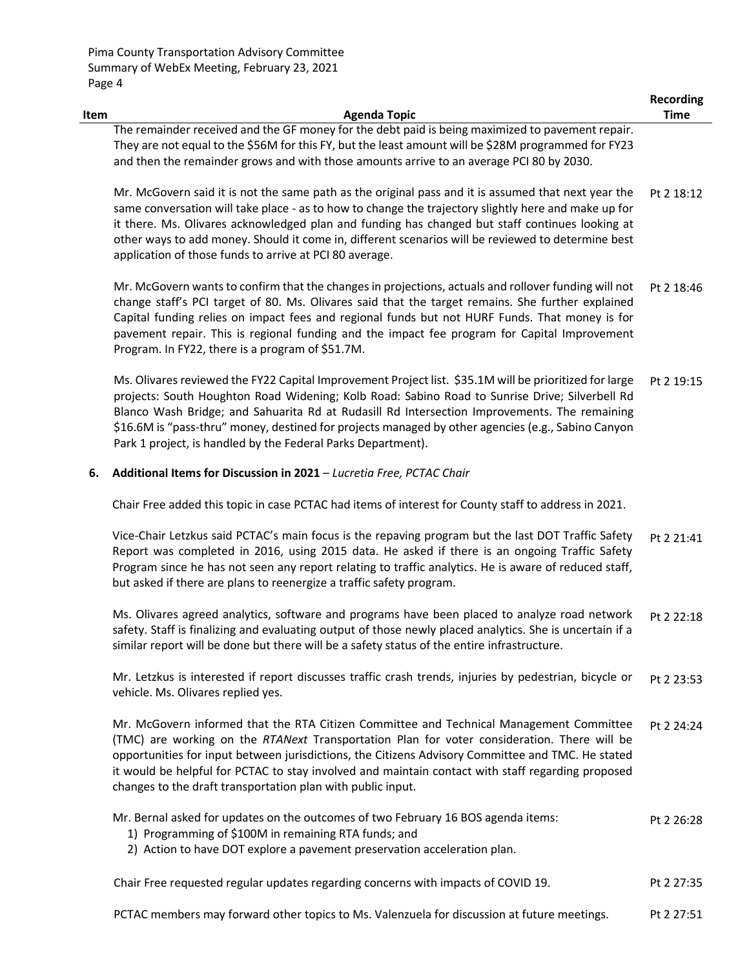|      |                                                                                                                                                                                                                                                                                                                                                                                                                                                                                 | <b>Recording</b> |
|------|---------------------------------------------------------------------------------------------------------------------------------------------------------------------------------------------------------------------------------------------------------------------------------------------------------------------------------------------------------------------------------------------------------------------------------------------------------------------------------|------------------|
| Item | <b>Agenda Topic</b>                                                                                                                                                                                                                                                                                                                                                                                                                                                             | <b>Time</b>      |
|      | The remainder received and the GF money for the debt paid is being maximized to pavement repair.<br>They are not equal to the \$56M for this FY, but the least amount will be \$28M programmed for FY23<br>and then the remainder grows and with those amounts arrive to an average PCI 80 by 2030.                                                                                                                                                                             |                  |
|      | Mr. McGovern said it is not the same path as the original pass and it is assumed that next year the<br>same conversation will take place - as to how to change the trajectory slightly here and make up for<br>it there. Ms. Olivares acknowledged plan and funding has changed but staff continues looking at<br>other ways to add money. Should it come in, different scenarios will be reviewed to determine best<br>application of those funds to arrive at PCI 80 average. | Pt 2 18:12       |
|      | Mr. McGovern wants to confirm that the changes in projections, actuals and rollover funding will not<br>change staff's PCI target of 80. Ms. Olivares said that the target remains. She further explained<br>Capital funding relies on impact fees and regional funds but not HURF Funds. That money is for<br>pavement repair. This is regional funding and the impact fee program for Capital Improvement<br>Program. In FY22, there is a program of \$51.7M.                 | Pt 2 18:46       |
|      | Ms. Olivares reviewed the FY22 Capital Improvement Project list. \$35.1M will be prioritized for large<br>projects: South Houghton Road Widening; Kolb Road: Sabino Road to Sunrise Drive; Silverbell Rd<br>Blanco Wash Bridge; and Sahuarita Rd at Rudasill Rd Intersection Improvements. The remaining<br>\$16.6M is "pass-thru" money, destined for projects managed by other agencies (e.g., Sabino Canyon<br>Park 1 project, is handled by the Federal Parks Department).  | Pt 2 19:15       |
| 6.   | Additional Items for Discussion in 2021 - Lucretia Free, PCTAC Chair                                                                                                                                                                                                                                                                                                                                                                                                            |                  |
|      | Chair Free added this topic in case PCTAC had items of interest for County staff to address in 2021.                                                                                                                                                                                                                                                                                                                                                                            |                  |
|      | Vice-Chair Letzkus said PCTAC's main focus is the repaving program but the last DOT Traffic Safety<br>Report was completed in 2016, using 2015 data. He asked if there is an ongoing Traffic Safety<br>Program since he has not seen any report relating to traffic analytics. He is aware of reduced staff,<br>but asked if there are plans to reenergize a traffic safety program.                                                                                            | Pt 2 21:41       |
|      | Ms. Olivares agreed analytics, software and programs have been placed to analyze road network<br>safety. Staff is finalizing and evaluating output of those newly placed analytics. She is uncertain if a<br>similar report will be done but there will be a safety status of the entire infrastructure.                                                                                                                                                                        | Pt 2 22:18       |
|      | Mr. Letzkus is interested if report discusses traffic crash trends, injuries by pedestrian, bicycle or<br>vehicle. Ms. Olivares replied yes.                                                                                                                                                                                                                                                                                                                                    | Pt 2 23:53       |
|      | Mr. McGovern informed that the RTA Citizen Committee and Technical Management Committee<br>(TMC) are working on the RTANext Transportation Plan for voter consideration. There will be<br>opportunities for input between jurisdictions, the Citizens Advisory Committee and TMC. He stated<br>it would be helpful for PCTAC to stay involved and maintain contact with staff regarding proposed<br>changes to the draft transportation plan with public input.                 | Pt 2 24:24       |
|      | Mr. Bernal asked for updates on the outcomes of two February 16 BOS agenda items:<br>1) Programming of \$100M in remaining RTA funds; and<br>2) Action to have DOT explore a pavement preservation acceleration plan.                                                                                                                                                                                                                                                           | Pt 2 26:28       |
|      | Chair Free requested regular updates regarding concerns with impacts of COVID 19.                                                                                                                                                                                                                                                                                                                                                                                               | Pt 2 27:35       |
|      | PCTAC members may forward other topics to Ms. Valenzuela for discussion at future meetings.                                                                                                                                                                                                                                                                                                                                                                                     | Pt 2 27:51       |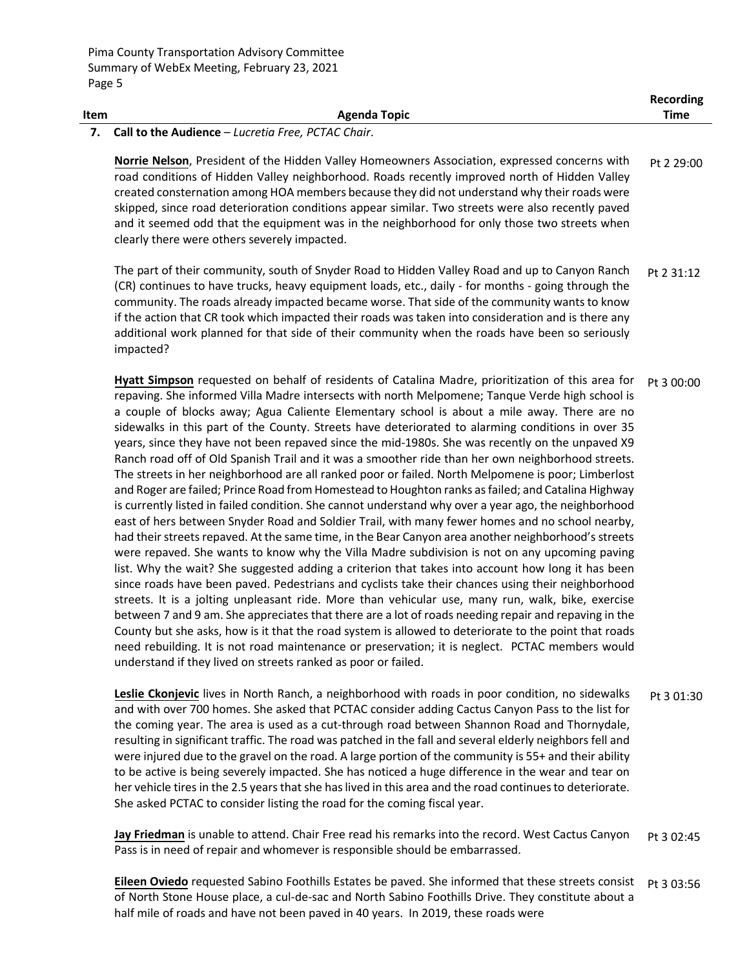| Item | <b>Agenda Topic</b>                                                                                                                                                                                                                                                                                                                                                                                                                                                                                                                                                                                                                                                                                                                                                                                                                                                                                                                                                                                                                                                                                                                                                                                                                                                                                                                                                                                                                                                                                                                                                                                                                                                                                                                                                                                                                                                                                                                                 | <b>Recording</b><br><b>Time</b> |
|------|-----------------------------------------------------------------------------------------------------------------------------------------------------------------------------------------------------------------------------------------------------------------------------------------------------------------------------------------------------------------------------------------------------------------------------------------------------------------------------------------------------------------------------------------------------------------------------------------------------------------------------------------------------------------------------------------------------------------------------------------------------------------------------------------------------------------------------------------------------------------------------------------------------------------------------------------------------------------------------------------------------------------------------------------------------------------------------------------------------------------------------------------------------------------------------------------------------------------------------------------------------------------------------------------------------------------------------------------------------------------------------------------------------------------------------------------------------------------------------------------------------------------------------------------------------------------------------------------------------------------------------------------------------------------------------------------------------------------------------------------------------------------------------------------------------------------------------------------------------------------------------------------------------------------------------------------------------|---------------------------------|
| 7.   | Call to the Audience - Lucretia Free, PCTAC Chair.                                                                                                                                                                                                                                                                                                                                                                                                                                                                                                                                                                                                                                                                                                                                                                                                                                                                                                                                                                                                                                                                                                                                                                                                                                                                                                                                                                                                                                                                                                                                                                                                                                                                                                                                                                                                                                                                                                  |                                 |
|      | Norrie Nelson, President of the Hidden Valley Homeowners Association, expressed concerns with<br>road conditions of Hidden Valley neighborhood. Roads recently improved north of Hidden Valley<br>created consternation among HOA members because they did not understand why their roads were<br>skipped, since road deterioration conditions appear similar. Two streets were also recently paved<br>and it seemed odd that the equipment was in the neighborhood for only those two streets when<br>clearly there were others severely impacted.                                                                                                                                                                                                                                                                                                                                                                                                                                                                                                                                                                                                                                                                                                                                                                                                                                                                                                                                                                                                                                                                                                                                                                                                                                                                                                                                                                                                 | Pt 2 29:00                      |
|      | The part of their community, south of Snyder Road to Hidden Valley Road and up to Canyon Ranch<br>(CR) continues to have trucks, heavy equipment loads, etc., daily - for months - going through the<br>community. The roads already impacted became worse. That side of the community wants to know<br>if the action that CR took which impacted their roads was taken into consideration and is there any<br>additional work planned for that side of their community when the roads have been so seriously<br>impacted?                                                                                                                                                                                                                                                                                                                                                                                                                                                                                                                                                                                                                                                                                                                                                                                                                                                                                                                                                                                                                                                                                                                                                                                                                                                                                                                                                                                                                          | Pt 2 31:12                      |
|      | Hyatt Simpson requested on behalf of residents of Catalina Madre, prioritization of this area for<br>repaving. She informed Villa Madre intersects with north Melpomene; Tanque Verde high school is<br>a couple of blocks away; Agua Caliente Elementary school is about a mile away. There are no<br>sidewalks in this part of the County. Streets have deteriorated to alarming conditions in over 35<br>years, since they have not been repaved since the mid-1980s. She was recently on the unpaved X9<br>Ranch road off of Old Spanish Trail and it was a smoother ride than her own neighborhood streets.<br>The streets in her neighborhood are all ranked poor or failed. North Melpomene is poor; Limberlost<br>and Roger are failed; Prince Road from Homestead to Houghton ranks as failed; and Catalina Highway<br>is currently listed in failed condition. She cannot understand why over a year ago, the neighborhood<br>east of hers between Snyder Road and Soldier Trail, with many fewer homes and no school nearby,<br>had their streets repaved. At the same time, in the Bear Canyon area another neighborhood's streets<br>were repaved. She wants to know why the Villa Madre subdivision is not on any upcoming paving<br>list. Why the wait? She suggested adding a criterion that takes into account how long it has been<br>since roads have been paved. Pedestrians and cyclists take their chances using their neighborhood<br>streets. It is a jolting unpleasant ride. More than vehicular use, many run, walk, bike, exercise<br>between 7 and 9 am. She appreciates that there are a lot of roads needing repair and repaving in the<br>County but she asks, how is it that the road system is allowed to deteriorate to the point that roads<br>need rebuilding. It is not road maintenance or preservation; it is neglect. PCTAC members would<br>understand if they lived on streets ranked as poor or failed. | Pt 3 00:00                      |

**Leslie Ckonjevic** lives in North Ranch, a neighborhood with roads in poor condition, no sidewalks and with over 700 homes. She asked that PCTAC consider adding Cactus Canyon Pass to the list for the coming year. The area is used as a cut-through road between Shannon Road and Thornydale, resulting in significant traffic. The road was patched in the fall and several elderly neighbors fell and were injured due to the gravel on the road. A large portion of the community is 55+ and their ability to be active is being severely impacted. She has noticed a huge difference in the wear and tear on her vehicle tires in the 2.5 years that she has lived in this area and the road continues to deteriorate. She asked PCTAC to consider listing the road for the coming fiscal year. Pt 3 01:30

**Jay Friedman** is unable to attend. Chair Free read his remarks into the record. West Cactus Canyon Pass is in need of repair and whomever is responsible should be embarrassed. Pt 3 02:45

**Eileen Oviedo** requested Sabino Foothills Estates be paved. She informed that these streets consist Pt 3 03:56of North Stone House place, a cul-de-sac and North Sabino Foothills Drive. They constitute about a half mile of roads and have not been paved in 40 years. In 2019, these roads were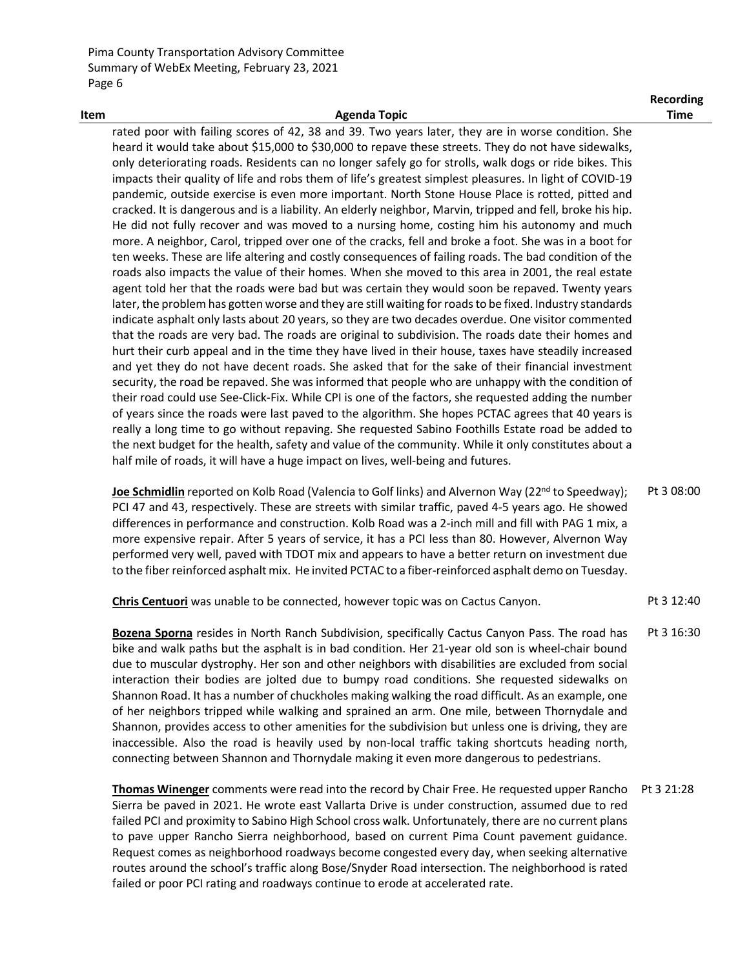|      |                                                                                                                      | <b>Recording</b> |
|------|----------------------------------------------------------------------------------------------------------------------|------------------|
| Item | <b>Agenda Topic</b>                                                                                                  | <b>Time</b>      |
|      | rated poor with failing scores of 42, 38 and 39. Two years later, they are in worse condition. She                   |                  |
|      | heard it would take about \$15,000 to \$30,000 to repave these streets. They do not have sidewalks,                  |                  |
|      | only deteriorating roads. Residents can no longer safely go for strolls, walk dogs or ride bikes. This               |                  |
|      | impacts their quality of life and robs them of life's greatest simplest pleasures. In light of COVID-19              |                  |
|      | pandemic, outside exercise is even more important. North Stone House Place is rotted, pitted and                     |                  |
|      | cracked. It is dangerous and is a liability. An elderly neighbor, Marvin, tripped and fell, broke his hip.           |                  |
|      | He did not fully recover and was moved to a nursing home, costing him his autonomy and much                          |                  |
|      | more. A neighbor, Carol, tripped over one of the cracks, fell and broke a foot. She was in a boot for                |                  |
|      | ten weeks. These are life altering and costly consequences of failing roads. The bad condition of the                |                  |
|      | roads also impacts the value of their homes. When she moved to this area in 2001, the real estate                    |                  |
|      | agent told her that the roads were bad but was certain they would soon be repaved. Twenty years                      |                  |
|      | later, the problem has gotten worse and they are still waiting for roads to be fixed. Industry standards             |                  |
|      | indicate asphalt only lasts about 20 years, so they are two decades overdue. One visitor commented                   |                  |
|      | that the roads are very bad. The roads are original to subdivision. The roads date their homes and                   |                  |
|      | hurt their curb appeal and in the time they have lived in their house, taxes have steadily increased                 |                  |
|      | and yet they do not have decent roads. She asked that for the sake of their financial investment                     |                  |
|      | security, the road be repaved. She was informed that people who are unhappy with the condition of                    |                  |
|      | their road could use See-Click-Fix. While CPI is one of the factors, she requested adding the number                 |                  |
|      | of years since the roads were last paved to the algorithm. She hopes PCTAC agrees that 40 years is                   |                  |
|      | really a long time to go without repaving. She requested Sabino Foothills Estate road be added to                    |                  |
|      | the next budget for the health, safety and value of the community. While it only constitutes about a                 |                  |
|      | half mile of roads, it will have a huge impact on lives, well-being and futures.                                     |                  |
|      | <b>Joe Schmidlin</b> reported on Kolb Road (Valencia to Golf links) and Alvernon Way (22 <sup>nd</sup> to Speedway); | Pt 3 08:00       |
|      | PCI 47 and 43, respectively. These are streets with similar traffic, paved 4-5 years ago. He showed                  |                  |
|      | differences in performance and construction. Kolb Road was a 2-inch mill and fill with PAG 1 mix, a                  |                  |
|      | more expensive repair. After 5 years of service, it has a PCI less than 80. However, Alvernon Way                    |                  |
|      | performed very well, paved with TDOT mix and appears to have a better return on investment due                       |                  |
|      | to the fiber reinforced asphalt mix. He invited PCTAC to a fiber-reinforced asphalt demo on Tuesday.                 |                  |

**Chris Centuori** was unable to be connected, however topic was on Cactus Canyon. Pt 3 12:40

**Bozena Sporna** resides in North Ranch Subdivision, specifically Cactus Canyon Pass. The road has bike and walk paths but the asphalt is in bad condition. Her 21-year old son is wheel-chair bound due to muscular dystrophy. Her son and other neighbors with disabilities are excluded from social interaction their bodies are jolted due to bumpy road conditions. She requested sidewalks on Shannon Road. It has a number of chuckholes making walking the road difficult. As an example, one of her neighbors tripped while walking and sprained an arm. One mile, between Thornydale and Shannon, provides access to other amenities for the subdivision but unless one is driving, they are inaccessible. Also the road is heavily used by non-local traffic taking shortcuts heading north, connecting between Shannon and Thornydale making it even more dangerous to pedestrians. Pt 3 16:30

**Thomas Winenger** comments were read into the record by Chair Free. He requested upper Rancho Pt 3 21:28Sierra be paved in 2021. He wrote east Vallarta Drive is under construction, assumed due to red failed PCI and proximity to Sabino High School cross walk. Unfortunately, there are no current plans to pave upper Rancho Sierra neighborhood, based on current Pima Count pavement guidance. Request comes as neighborhood roadways become congested every day, when seeking alternative routes around the school's traffic along Bose/Snyder Road intersection. The neighborhood is rated failed or poor PCI rating and roadways continue to erode at accelerated rate.